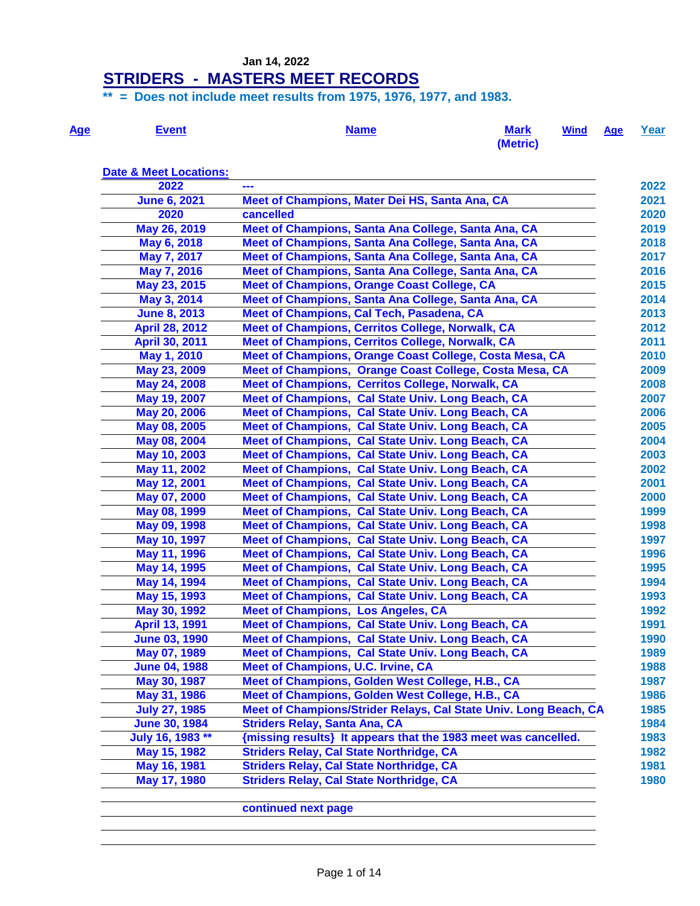# **STRIDERS - MASTERS MEET RECORDS**

**\*\* = Does not include meet results from 1975, 1976, 1977, and 1983.**

| <b>Age</b> | Event | <b>Name</b> | <b>Mark</b> | <u>Wind Age Year</u> |  |
|------------|-------|-------------|-------------|----------------------|--|
|            |       |             | (Metric)    |                      |  |

| <b>Date &amp; Meet Locations:</b> |                                                                  |      |
|-----------------------------------|------------------------------------------------------------------|------|
| 2022                              | ---                                                              | 2022 |
| <b>June 6, 2021</b>               | Meet of Champions, Mater Dei HS, Santa Ana, CA                   | 2021 |
| 2020                              | cancelled                                                        | 2020 |
| May 26, 2019                      | Meet of Champions, Santa Ana College, Santa Ana, CA              | 2019 |
| May 6, 2018                       | Meet of Champions, Santa Ana College, Santa Ana, CA              | 2018 |
| May 7, 2017                       | Meet of Champions, Santa Ana College, Santa Ana, CA              | 2017 |
| May 7, 2016                       | Meet of Champions, Santa Ana College, Santa Ana, CA              | 2016 |
| May 23, 2015                      | <b>Meet of Champions, Orange Coast College, CA</b>               | 2015 |
| May 3, 2014                       | Meet of Champions, Santa Ana College, Santa Ana, CA              | 2014 |
| <b>June 8, 2013</b>               | Meet of Champions, Cal Tech, Pasadena, CA                        | 2013 |
| <b>April 28, 2012</b>             | Meet of Champions, Cerritos College, Norwalk, CA                 | 2012 |
| April 30, 2011                    | Meet of Champions, Cerritos College, Norwalk, CA                 | 2011 |
| May 1, 2010                       | Meet of Champions, Orange Coast College, Costa Mesa, CA          | 2010 |
| May 23, 2009                      | Meet of Champions, Orange Coast College, Costa Mesa, CA          | 2009 |
| May 24, 2008                      | Meet of Champions, Cerritos College, Norwalk, CA                 | 2008 |
| May 19, 2007                      | Meet of Champions, Cal State Univ. Long Beach, CA                | 2007 |
| May 20, 2006                      | Meet of Champions, Cal State Univ. Long Beach, CA                | 2006 |
| May 08, 2005                      | Meet of Champions, Cal State Univ. Long Beach, CA                | 2005 |
| May 08, 2004                      | Meet of Champions, Cal State Univ. Long Beach, CA                | 2004 |
| May 10, 2003                      | Meet of Champions, Cal State Univ. Long Beach, CA                | 2003 |
| May 11, 2002                      | Meet of Champions, Cal State Univ. Long Beach, CA                | 2002 |
| May 12, 2001                      | Meet of Champions, Cal State Univ. Long Beach, CA                | 2001 |
| May 07, 2000                      | Meet of Champions, Cal State Univ. Long Beach, CA                | 2000 |
| May 08, 1999                      | Meet of Champions, Cal State Univ. Long Beach, CA                | 1999 |
| May 09, 1998                      | Meet of Champions, Cal State Univ. Long Beach, CA                | 1998 |
| May 10, 1997                      | Meet of Champions, Cal State Univ. Long Beach, CA                | 1997 |
| May 11, 1996                      | Meet of Champions, Cal State Univ. Long Beach, CA                | 1996 |
| May 14, 1995                      | Meet of Champions, Cal State Univ. Long Beach, CA                | 1995 |
| May 14, 1994                      | Meet of Champions, Cal State Univ. Long Beach, CA                | 1994 |
| May 15, 1993                      | Meet of Champions, Cal State Univ. Long Beach, CA                | 1993 |
| May 30, 1992                      | <b>Meet of Champions, Los Angeles, CA</b>                        | 1992 |
| <b>April 13, 1991</b>             | Meet of Champions, Cal State Univ. Long Beach, CA                | 1991 |
| <b>June 03, 1990</b>              | Meet of Champions, Cal State Univ. Long Beach, CA                | 1990 |
| May 07, 1989                      | Meet of Champions, Cal State Univ. Long Beach, CA                | 1989 |
| <b>June 04, 1988</b>              | <b>Meet of Champions, U.C. Irvine, CA</b>                        | 1988 |
| May 30, 1987                      | Meet of Champions, Golden West College, H.B., CA                 | 1987 |
| May 31, 1986                      | Meet of Champions, Golden West College, H.B., CA                 | 1986 |
| <b>July 27, 1985</b>              | Meet of Champions/Strider Relays, Cal State Univ. Long Beach, CA | 1985 |
| <b>June 30, 1984</b>              | <b>Striders Relay, Santa Ana, CA</b>                             | 1984 |
| July 16, 1983 **                  | {missing results} It appears that the 1983 meet was cancelled.   | 1983 |
| May 15, 1982                      | <b>Striders Relay, Cal State Northridge, CA</b>                  | 1982 |
| May 16, 1981                      | <b>Striders Relay, Cal State Northridge, CA</b>                  | 1981 |
| May 17, 1980                      | <b>Striders Relay, Cal State Northridge, CA</b>                  | 1980 |

**continued next page**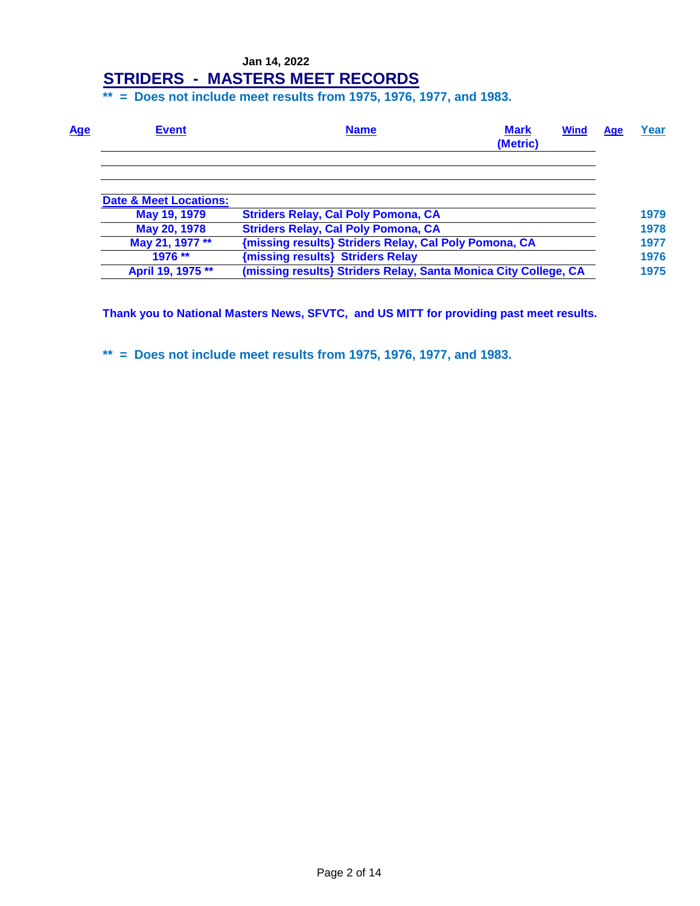**\*\* = Does not include meet results from 1975, 1976, 1977, and 1983.**

| <u>Age</u><br><b>Event</b>        | <b>Mark</b><br><b>Name</b><br>(Metric)                          | <b>Wind</b> | Age | Year |
|-----------------------------------|-----------------------------------------------------------------|-------------|-----|------|
|                                   |                                                                 |             |     |      |
| <b>Date &amp; Meet Locations:</b> |                                                                 |             |     |      |
| May 19, 1979                      | <b>Striders Relay, Cal Poly Pomona, CA</b>                      |             |     | 1979 |
| May 20, 1978                      | <b>Striders Relay, Cal Poly Pomona, CA</b>                      |             |     | 1978 |
| May 21, 1977 **                   | {missing results} Striders Relay, Cal Poly Pomona, CA           |             |     | 1977 |
| 1976 **                           | {missing results} Striders Relay                                |             |     | 1976 |
| April 19, 1975 **                 | (missing results) Striders Relay, Santa Monica City College, CA |             |     | 1975 |

**Thank you to National Masters News, SFVTC, and US MITT for providing past meet results.**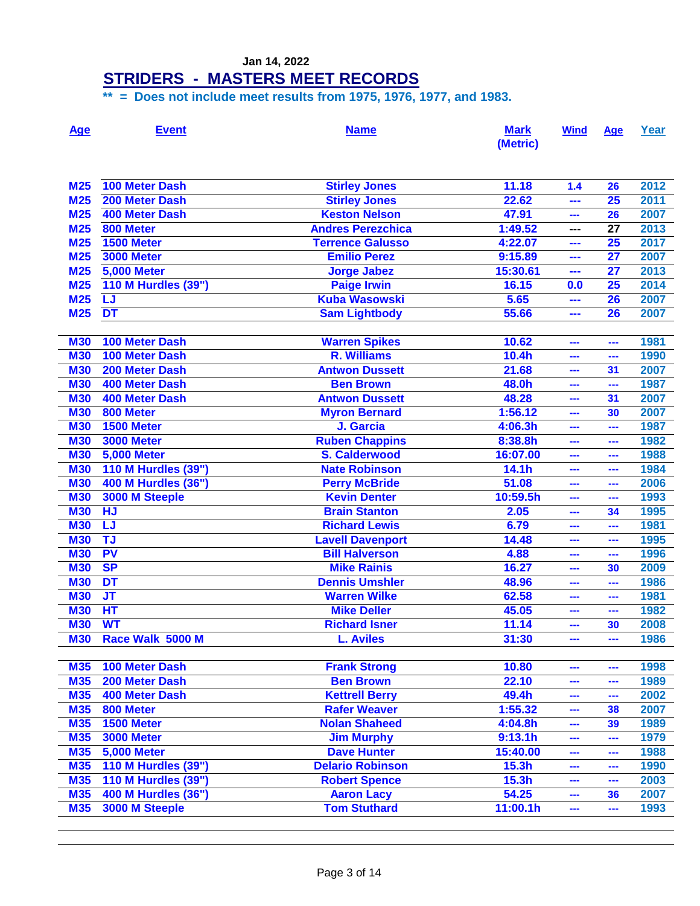### **STRIDERS - MASTERS MEET RECORDS**

| <b>Age</b> | <b>Event</b>                      | <b>Name</b>              | <b>Mark</b><br>(Metric) | <b>Wind</b> | Age                      | Year |
|------------|-----------------------------------|--------------------------|-------------------------|-------------|--------------------------|------|
| <b>M25</b> | <b>100 Meter Dash</b>             | <b>Stirley Jones</b>     | 11.18                   | 1.4         | 26                       | 2012 |
| <b>M25</b> | 200 Meter Dash                    | <b>Stirley Jones</b>     | 22.62                   | ---         | 25                       | 2011 |
| <b>M25</b> | <b>400 Meter Dash</b>             | <b>Keston Nelson</b>     | 47.91                   | ---         | 26                       | 2007 |
| <b>M25</b> | 800 Meter                         | <b>Andres Perezchica</b> | 1:49.52                 | ---         | 27                       | 2013 |
| <b>M25</b> | 1500 Meter                        | <b>Terrence Galusso</b>  | 4:22.07                 | ---         | 25                       | 2017 |
| <b>M25</b> | <b>3000 Meter</b>                 | <b>Emilio Perez</b>      | 9:15.89                 | ---         | 27                       | 2007 |
| <b>M25</b> | <b>5,000 Meter</b>                | <b>Jorge Jabez</b>       | 15:30.61                | ---         | 27                       | 2013 |
| <b>M25</b> | 110 M Hurdles (39")               | <b>Paige Irwin</b>       | 16.15                   | 0.0         | 25                       | 2014 |
| <b>M25</b> | LJ                                | <b>Kuba Wasowski</b>     | 5.65                    | ---         | 26                       | 2007 |
| <b>M25</b> | <b>DT</b>                         | <b>Sam Lightbody</b>     | 55.66                   | ---         | 26                       | 2007 |
|            |                                   |                          |                         |             |                          |      |
| <b>M30</b> | 100 Meter Dash                    | <b>Warren Spikes</b>     | 10.62                   | ---         | ---                      | 1981 |
| <b>M30</b> | <b>100 Meter Dash</b>             | <b>R. Williams</b>       | 10.4h                   | ---         | ---                      | 1990 |
| <b>M30</b> | 200 Meter Dash                    | <b>Antwon Dussett</b>    | 21.68                   | ---         | 31                       | 2007 |
| <b>M30</b> | <b>400 Meter Dash</b>             | <b>Ben Brown</b>         | 48.0h                   | ---         | ---                      | 1987 |
| <b>M30</b> | 400 Meter Dash                    | <b>Antwon Dussett</b>    | 48.28                   | ---         | 31                       | 2007 |
| <b>M30</b> | 800 Meter                         | <b>Myron Bernard</b>     | 1:56.12                 | ---         | 30                       | 2007 |
| <b>M30</b> | 1500 Meter                        | J. Garcia                | 4:06.3h                 | ---         | ---                      | 1987 |
| <b>M30</b> | <b>3000 Meter</b>                 | <b>Ruben Chappins</b>    | 8:38.8h                 | ---         | ---                      | 1982 |
| <b>M30</b> | <b>5,000 Meter</b>                | <b>S. Calderwood</b>     | 16:07.00                | ---         | ---                      | 1988 |
| <b>M30</b> | <b>110 M Hurdles (39")</b>        | <b>Nate Robinson</b>     | 14.1h                   |             | ---                      | 1984 |
| <b>M30</b> | 400 M Hurdles (36")               | <b>Perry McBride</b>     | 51.08                   | ---         | ---                      | 2006 |
| <b>M30</b> | 3000 M Steeple                    | <b>Kevin Denter</b>      | 10:59.5h                | ---         | ---                      | 1993 |
| <b>M30</b> | <b>HJ</b>                         | <b>Brain Stanton</b>     | 2.05                    | ---         | 34                       | 1995 |
| <b>M30</b> | LJ                                | <b>Richard Lewis</b>     | 6.79                    | ---         | ---                      | 1981 |
| <b>M30</b> | TJ                                | <b>Lavell Davenport</b>  | 14.48                   | ---         | ---                      | 1995 |
| <b>M30</b> | <b>PV</b>                         | <b>Bill Halverson</b>    | 4.88                    | ---         | ---                      | 1996 |
| <b>M30</b> | <b>SP</b>                         | <b>Mike Rainis</b>       | 16.27                   | ---         | 30                       | 2009 |
| <b>M30</b> | <b>DT</b>                         | <b>Dennis Umshler</b>    | 48.96                   | ---         | ---                      | 1986 |
| <b>M30</b> | $\overline{\mathsf{J}\mathsf{T}}$ | <b>Warren Wilke</b>      | 62.58                   | ---         | ---                      | 1981 |
| <b>M30</b> | HT                                | <b>Mike Deller</b>       | 45.05                   | ---         | ---                      | 1982 |
| <b>M30</b> | <b>WT</b>                         | <b>Richard Isner</b>     | 11.14                   | ---         | 30                       | 2008 |
| <b>M30</b> | Race Walk 5000 M                  | <b>L. Aviles</b>         | 31:30                   | ---         | ---                      | 1986 |
| <b>M35</b> | 100 Meter Dash                    | <b>Frank Strong</b>      | 10.80                   | ---         | ---                      | 1998 |
| <b>M35</b> | 200 Meter Dash                    | <b>Ben Brown</b>         | 22.10                   | $\sim$      | ---                      | 1989 |
| <b>M35</b> | 400 Meter Dash                    | <b>Kettrell Berry</b>    | 49.4h                   | ---         | $\overline{\phantom{a}}$ | 2002 |
| <b>M35</b> | 800 Meter                         | <b>Rafer Weaver</b>      | 1:55.32                 | ---         | 38                       | 2007 |
| <b>M35</b> | <b>1500 Meter</b>                 | <b>Nolan Shaheed</b>     | 4:04.8h                 | $\sim$      | 39                       | 1989 |
| <b>M35</b> | <b>3000 Meter</b>                 | <b>Jim Murphy</b>        | 9:13.1h                 | $\sim$      | ---                      | 1979 |
| <b>M35</b> | <b>5,000 Meter</b>                | <b>Dave Hunter</b>       | 15:40.00                | $\sim$      | $\sim$                   | 1988 |
| <b>M35</b> | <b>110 M Hurdles (39")</b>        | <b>Delario Robinson</b>  | 15.3h                   | ---         | ---                      | 1990 |
| <b>M35</b> | 110 M Hurdles (39")               | <b>Robert Spence</b>     | 15.3h                   | and a       | ---                      | 2003 |
| <b>M35</b> | 400 M Hurdles (36")               | <b>Aaron Lacy</b>        | 54.25                   | and a       | 36                       | 2007 |
| <b>M35</b> | 3000 M Steeple                    | <b>Tom Stuthard</b>      | 11:00.1h                | ---         | $\overline{\phantom{a}}$ | 1993 |
|            |                                   |                          |                         |             |                          |      |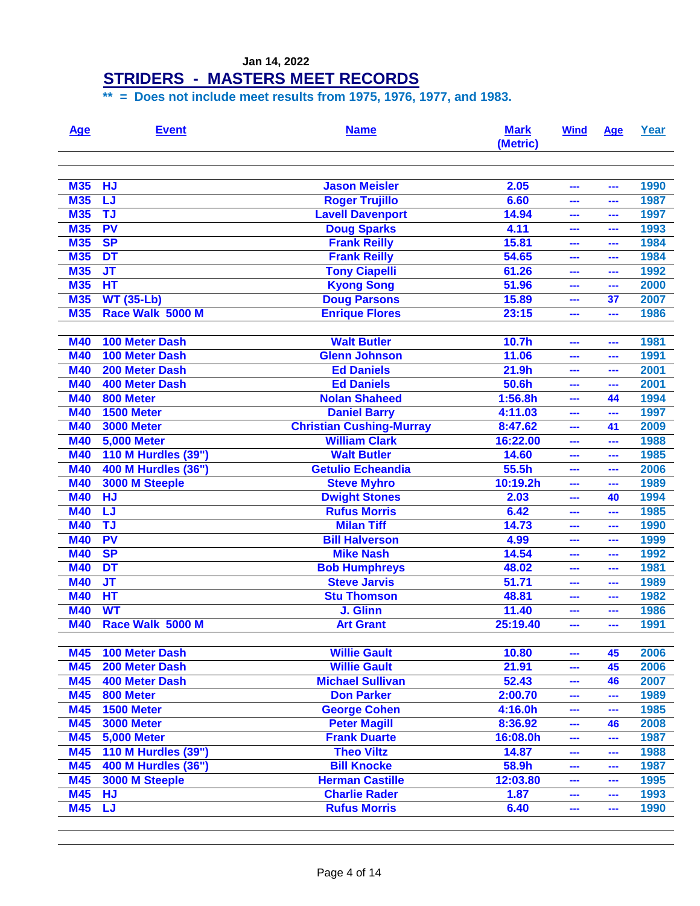#### **STRIDERS - MASTERS MEET RECORDS**

| Age        | <b>Event</b>               | <b>Name</b>                     | <b>Mark</b><br>(Metric) | <b>Wind</b> | Age           | Year |
|------------|----------------------------|---------------------------------|-------------------------|-------------|---------------|------|
| <b>M35</b> | <b>HJ</b>                  | <b>Jason Meisler</b>            | 2.05                    | ---         | ---           | 1990 |
| <b>M35</b> | LJ                         | <b>Roger Trujillo</b>           | 6.60                    | ---         |               | 1987 |
| <b>M35</b> | <b>TJ</b>                  | <b>Lavell Davenport</b>         | 14.94                   | ---         | ---           | 1997 |
| <b>M35</b> | <b>PV</b>                  | <b>Doug Sparks</b>              | 4.11                    | ---         | ---           | 1993 |
| <b>M35</b> | <b>SP</b>                  | <b>Frank Reilly</b>             | 15.81                   | ---         | ---           | 1984 |
| <b>M35</b> | <b>DT</b>                  | <b>Frank Reilly</b>             | 54.65                   | ---         | ---           | 1984 |
| <b>M35</b> | <b>JT</b>                  | <b>Tony Ciapelli</b>            | 61.26                   | ---         | ---           | 1992 |
| <b>M35</b> | <b>HT</b>                  | <b>Kyong Song</b>               | 51.96                   | ---         | ---           | 2000 |
| <b>M35</b> | <b>WT (35-Lb)</b>          | <b>Doug Parsons</b>             | 15.89                   | ---         | 37            | 2007 |
| <b>M35</b> | Race Walk 5000 M           | <b>Enrique Flores</b>           | 23:15                   | ---         | ---           | 1986 |
|            |                            |                                 |                         |             |               |      |
| <b>M40</b> | <b>100 Meter Dash</b>      | <b>Walt Butler</b>              | 10.7h                   | ---         | ---           | 1981 |
| <b>M40</b> | <b>100 Meter Dash</b>      | <b>Glenn Johnson</b>            | 11.06                   | ---         | ---           | 1991 |
| <b>M40</b> | <b>200 Meter Dash</b>      | <b>Ed Daniels</b>               | 21.9h                   | ---         | ---           | 2001 |
| <b>M40</b> | <b>400 Meter Dash</b>      | <b>Ed Daniels</b>               | 50.6h                   | ---         | ---           | 2001 |
| <b>M40</b> | 800 Meter                  | <b>Nolan Shaheed</b>            | 1:56.8h                 | ---         | 44            | 1994 |
| <b>M40</b> | 1500 Meter                 | <b>Daniel Barry</b>             | 4:11.03                 | ---         | ---           | 1997 |
| <b>M40</b> | <b>3000 Meter</b>          | <b>Christian Cushing-Murray</b> | 8:47.62                 | ---         | 41            | 2009 |
| <b>M40</b> | <b>5,000 Meter</b>         | <b>William Clark</b>            | 16:22.00                | ---         | ---           | 1988 |
| <b>M40</b> | <b>110 M Hurdles (39")</b> | <b>Walt Butler</b>              | 14.60                   | ---         | ---           | 1985 |
| <b>M40</b> | 400 M Hurdles (36")        | <b>Getulio Echeandia</b>        | 55.5h                   | ---         |               | 2006 |
| <b>M40</b> | 3000 M Steeple             | <b>Steve Myhro</b>              | 10:19.2h                | ---         | ---           | 1989 |
| <b>M40</b> | <b>HJ</b>                  | <b>Dwight Stones</b>            | 2.03                    | ---         | 40            | 1994 |
| <b>M40</b> | LJ                         | <b>Rufus Morris</b>             | 6.42                    | ---         | ---           | 1985 |
| <b>M40</b> | <b>TJ</b>                  | <b>Milan Tiff</b>               | 14.73                   | ---         | ---           | 1990 |
| <b>M40</b> | PV                         | <b>Bill Halverson</b>           | 4.99                    | ---         | ---           | 1999 |
| <b>M40</b> | <b>SP</b>                  | <b>Mike Nash</b>                | 14.54                   | ---         | ---           | 1992 |
| <b>M40</b> | <b>DT</b>                  | <b>Bob Humphreys</b>            | 48.02                   | ---         | ---           | 1981 |
| <b>M40</b> | <b>JT</b>                  | <b>Steve Jarvis</b>             | 51.71                   | ---         |               | 1989 |
| <b>M40</b> | HT                         | <b>Stu Thomson</b>              | 48.81                   | ---         | ---           | 1982 |
| <b>M40</b> | <b>WT</b>                  | J. Glinn                        | 11.40                   | ---         | ---           | 1986 |
| <b>M40</b> | Race Walk 5000 M           | <b>Art Grant</b>                | 25:19.40                | ---         | ---           | 1991 |
|            |                            |                                 |                         |             |               |      |
| <b>M45</b> | 100 Meter Dash             | <b>Willie Gault</b>             | 10.80                   | ---         | 45            | 2006 |
| <b>M45</b> | 200 Meter Dash             | <b>Willie Gault</b>             | 21.91                   | ---         | 45            | 2006 |
| <b>M45</b> | <b>400 Meter Dash</b>      | <b>Michael Sullivan</b>         | 52.43                   | ---         | 46            | 2007 |
| <b>M45</b> | 800 Meter                  | <b>Don Parker</b>               | 2:00.70                 | ---         | ---           | 1989 |
| <b>M45</b> | 1500 Meter                 | <b>George Cohen</b>             | 4:16.0h                 | ---         | ---           | 1985 |
| <b>M45</b> | <b>3000 Meter</b>          | <b>Peter Magill</b>             | 8:36.92                 | ---         | 46            | 2008 |
| <b>M45</b> | <b>5,000 Meter</b>         | <b>Frank Duarte</b>             | 16:08.0h                | ---         | $\frac{1}{2}$ | 1987 |
| <b>M45</b> | <b>110 M Hurdles (39")</b> | <b>Theo Viltz</b>               | 14.87                   | ---         | ---           | 1988 |
| <b>M45</b> | <b>400 M Hurdles (36")</b> | <b>Bill Knocke</b>              | 58.9h                   | ---         | ---           | 1987 |
| <b>M45</b> | 3000 M Steeple             | <b>Herman Castille</b>          | 12:03.80                | ---         | ---           | 1995 |
| <b>M45</b> | <b>HJ</b>                  | <b>Charlie Rader</b>            | 1.87                    | ---         | ---           | 1993 |
| <b>M45</b> | LJ                         | <b>Rufus Morris</b>             | 6.40                    | ---         | ---           | 1990 |
|            |                            |                                 |                         |             |               |      |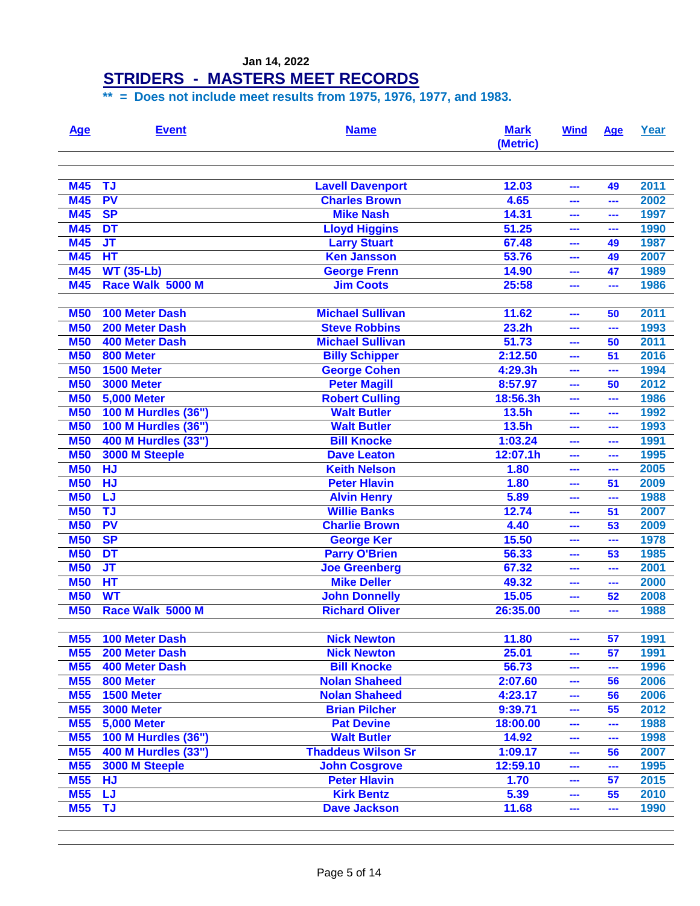### **STRIDERS - MASTERS MEET RECORDS**

| <u>Age</u> | <b>Event</b>               | <b>Name</b>               | <b>Mark</b><br>(Metric) | <b>Wind</b> | Age | Year |
|------------|----------------------------|---------------------------|-------------------------|-------------|-----|------|
| <b>M45</b> | <b>TJ</b>                  | <b>Lavell Davenport</b>   | 12.03                   | ---         | 49  | 2011 |
| <b>M45</b> | <b>PV</b>                  | <b>Charles Brown</b>      | 4.65                    | ---         | --- | 2002 |
| <b>M45</b> | <b>SP</b>                  | <b>Mike Nash</b>          | 14.31                   | ---         | --- | 1997 |
| <b>M45</b> | DT                         | <b>Lloyd Higgins</b>      | 51.25                   | ---         | --- | 1990 |
| <b>M45</b> | <b>JT</b>                  | <b>Larry Stuart</b>       | 67.48                   | ---         | 49  | 1987 |
| <b>M45</b> | HT                         | <b>Ken Jansson</b>        | 53.76                   | ---         | 49  | 2007 |
| <b>M45</b> | <b>WT (35-Lb)</b>          | <b>George Frenn</b>       | 14.90                   | ---         | 47  | 1989 |
| <b>M45</b> | Race Walk 5000 M           | <b>Jim Coots</b>          | 25:58                   |             | --- | 1986 |
|            |                            |                           |                         |             |     |      |
| <b>M50</b> | <b>100 Meter Dash</b>      | <b>Michael Sullivan</b>   | 11.62                   | ---         | 50  | 2011 |
| <b>M50</b> | 200 Meter Dash             | <b>Steve Robbins</b>      | 23.2 <sub>h</sub>       | ---         | --- | 1993 |
| <b>M50</b> | <b>400 Meter Dash</b>      | <b>Michael Sullivan</b>   | 51.73                   | ---         | 50  | 2011 |
| <b>M50</b> | 800 Meter                  | <b>Billy Schipper</b>     | 2:12.50                 | ---         | 51  | 2016 |
| <b>M50</b> | 1500 Meter                 | <b>George Cohen</b>       | 4:29.3h                 | ---         | --- | 1994 |
| <b>M50</b> | <b>3000 Meter</b>          | <b>Peter Magill</b>       | 8:57.97                 | ---         | 50  | 2012 |
| <b>M50</b> | <b>5,000 Meter</b>         | <b>Robert Culling</b>     | 18:56.3h                | ---         | --- | 1986 |
| <b>M50</b> | 100 M Hurdles (36")        | <b>Walt Butler</b>        | 13.5h                   | ---         | --- | 1992 |
| <b>M50</b> | <b>100 M Hurdles (36")</b> | <b>Walt Butler</b>        | 13.5h                   | ---         |     | 1993 |
| <b>M50</b> | 400 M Hurdles (33")        | <b>Bill Knocke</b>        | 1:03.24                 | ---         | --- | 1991 |
| <b>M50</b> | 3000 M Steeple             | <b>Dave Leaton</b>        | 12:07.1h                | ---         | --- | 1995 |
| <b>M50</b> | <b>HJ</b>                  | <b>Keith Nelson</b>       | 1.80                    | ---         | --- | 2005 |
| <b>M50</b> | <b>HJ</b>                  | <b>Peter Hlavin</b>       | 1.80                    | ---         | 51  | 2009 |
| <b>M50</b> | LJ                         | <b>Alvin Henry</b>        | 5.89                    | ---         | --- | 1988 |
| <b>M50</b> | <b>TJ</b>                  | <b>Willie Banks</b>       | 12.74                   | ---         | 51  | 2007 |
| <b>M50</b> | <b>PV</b>                  | <b>Charlie Brown</b>      | 4.40                    | ---         | 53  | 2009 |
| <b>M50</b> | <b>SP</b>                  | <b>George Ker</b>         | 15.50                   | ---         | --- | 1978 |
| <b>M50</b> | DT                         | <b>Parry O'Brien</b>      | 56.33                   | ---         | 53  | 1985 |
| <b>M50</b> | <b>JT</b>                  | <b>Joe Greenberg</b>      | 67.32                   | ---         | --- | 2001 |
| <b>M50</b> | HT                         | <b>Mike Deller</b>        | 49.32                   | ---         | --- | 2000 |
| <b>M50</b> | <b>WT</b>                  | <b>John Donnelly</b>      | 15.05                   | ---         | 52  | 2008 |
| <b>M50</b> | Race Walk 5000 M           | <b>Richard Oliver</b>     | 26:35.00                | ---         | --- | 1988 |
|            |                            |                           |                         |             |     |      |
| <b>M55</b> | 100 Meter Dash             | <b>Nick Newton</b>        | 11.80                   | ---         | 57  | 1991 |
| <b>M55</b> | 200 Meter Dash             | <b>Nick Newton</b>        | 25.01                   | ---         | 57  | 1991 |
| <b>M55</b> | <b>400 Meter Dash</b>      | <b>Bill Knocke</b>        | 56.73                   | ---         | --- | 1996 |
| <b>M55</b> | 800 Meter                  | <b>Nolan Shaheed</b>      | 2:07.60                 | ---         | 56  | 2006 |
| <b>M55</b> | 1500 Meter                 | <b>Nolan Shaheed</b>      | 4:23.17                 | ---         | 56  | 2006 |
| <b>M55</b> | <b>3000 Meter</b>          | <b>Brian Pilcher</b>      | 9:39.71                 | ---         | 55  | 2012 |
| <b>M55</b> | <b>5,000 Meter</b>         | <b>Pat Devine</b>         | 18:00.00                | ---         | --- | 1988 |
| <b>M55</b> | <b>100 M Hurdles (36")</b> | <b>Walt Butler</b>        | 14.92                   | ---         | --- | 1998 |
| <b>M55</b> | <b>400 M Hurdles (33")</b> | <b>Thaddeus Wilson Sr</b> | 1:09.17                 | ---         | 56  | 2007 |
| <b>M55</b> | 3000 M Steeple             | <b>John Cosgrove</b>      | 12:59.10                | ---         | --- | 1995 |
| <b>M55</b> | <b>HJ</b>                  | <b>Peter Hlavin</b>       | 1.70                    | ---         | 57  | 2015 |
| <b>M55</b> | <b>LJ</b>                  | <b>Kirk Bentz</b>         | 5.39                    | ---         | 55  | 2010 |
| <b>M55</b> | <b>TJ</b>                  | <b>Dave Jackson</b>       | 11.68                   | ---         | --- | 1990 |
|            |                            |                           |                         |             |     |      |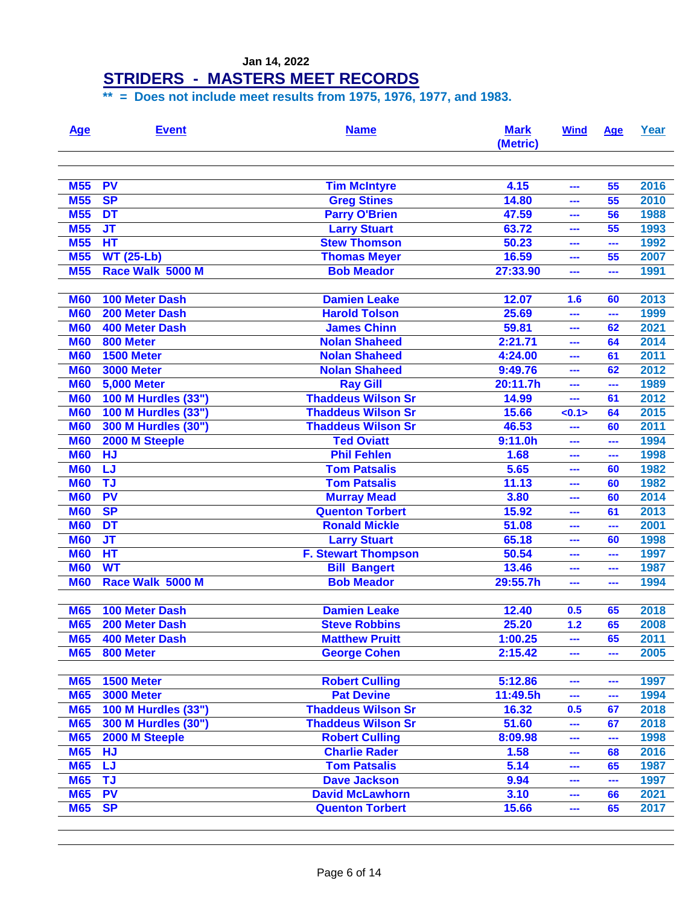#### **STRIDERS - MASTERS MEET RECORDS**

| <u>Age</u>               | <b>Event</b>                                             | <b>Name</b>                                    | <b>Mark</b><br>(Metric) | <b>Wind</b>  | Age       | Year         |
|--------------------------|----------------------------------------------------------|------------------------------------------------|-------------------------|--------------|-----------|--------------|
| <b>M55</b>               | <b>PV</b>                                                | <b>Tim McIntyre</b>                            | 4.15                    | ---          | 55        | 2016         |
| <b>M55</b>               | <b>SP</b>                                                | <b>Greg Stines</b>                             | 14.80                   | ---          | 55        | 2010         |
| <b>M55</b>               | <b>DT</b>                                                | <b>Parry O'Brien</b>                           | 47.59                   | ---          | 56        | 1988         |
| <b>M55</b>               | <b>JT</b>                                                | <b>Larry Stuart</b>                            | 63.72                   | ---          | 55        | 1993         |
| <b>M55</b>               | HT                                                       | <b>Stew Thomson</b>                            | 50.23                   | ---          | ---       | 1992         |
| <b>M55</b>               | <b>WT (25-Lb)</b>                                        | <b>Thomas Meyer</b>                            | 16.59                   | ---          | 55        | 2007         |
| <b>M55</b>               | Race Walk 5000 M                                         | <b>Bob Meador</b>                              | 27:33.90                | ---          | ---       | 1991         |
| <b>M60</b>               | <b>100 Meter Dash</b>                                    | <b>Damien Leake</b>                            | 12.07                   |              |           | 2013         |
| <b>M60</b>               | 200 Meter Dash                                           | <b>Harold Tolson</b>                           | 25.69                   | 1.6          | 60        | 1999         |
| <b>M60</b>               | <b>400 Meter Dash</b>                                    | <b>James Chinn</b>                             | 59.81                   | ---          | ---       | 2021         |
| <b>M60</b>               | 800 Meter                                                | <b>Nolan Shaheed</b>                           | 2:21.71                 | ---          | 62<br>64  | 2014         |
| <b>M60</b>               | 1500 Meter                                               | <b>Nolan Shaheed</b>                           | 4:24.00                 | ---          | 61        | 2011         |
| <b>M60</b>               | <b>3000 Meter</b>                                        | <b>Nolan Shaheed</b>                           | 9:49.76                 | ---<br>---   | 62        | 2012         |
| <b>M60</b>               | <b>5,000 Meter</b>                                       | <b>Ray Gill</b>                                | 20:11.7h                | ---          | ---       | 1989         |
| <b>M60</b>               |                                                          | <b>Thaddeus Wilson Sr</b>                      |                         |              | 61        | 2012         |
| <b>M60</b>               | <b>100 M Hurdles (33")</b><br><b>100 M Hurdles (33")</b> | <b>Thaddeus Wilson Sr</b>                      | 14.99<br>15.66          | ---<br>< 0.1 | 64        | 2015         |
| <b>M60</b>               | <b>300 M Hurdles (30")</b>                               | <b>Thaddeus Wilson Sr</b>                      | 46.53                   |              | 60        | 2011         |
|                          |                                                          |                                                |                         |              |           |              |
| <b>M60</b><br><b>M60</b> | 2000 M Steeple<br><b>HJ</b>                              | <b>Ted Oviatt</b><br><b>Phil Fehlen</b>        | 9:11.0h<br>1.68         | ---          | ---       | 1994<br>1998 |
|                          | LJ                                                       | <b>Tom Patsalis</b>                            |                         | ---          | ---<br>60 | 1982         |
| <b>M60</b>               | <b>TJ</b>                                                |                                                | 5.65<br>11.13           | ---          | 60        | 1982         |
| <b>M60</b><br><b>M60</b> | <b>PV</b>                                                | <b>Tom Patsalis</b>                            | 3.80                    | ---<br>---   | 60        | 2014         |
|                          | <b>SP</b>                                                | <b>Murray Mead</b>                             |                         |              |           |              |
| <b>M60</b><br><b>M60</b> | DT                                                       | <b>Quenton Torbert</b><br><b>Ronald Mickle</b> | 15.92                   | ---          | 61        | 2013<br>2001 |
| <b>M60</b>               | $\overline{\mathsf{J}\mathsf{T}}$                        |                                                | 51.08                   | ---          | ---       |              |
| <b>M60</b>               | HT                                                       | <b>Larry Stuart</b>                            | 65.18                   | ---          | 60        | 1998         |
| <b>M60</b>               | <b>WT</b>                                                | <b>F. Stewart Thompson</b>                     | 50.54                   | ---          | ---       | 1997<br>1987 |
| <b>M60</b>               | Race Walk 5000 M                                         | <b>Bill Bangert</b><br><b>Bob Meador</b>       | 13.46<br>29:55.7h       | ---          | ---       | 1994         |
|                          |                                                          |                                                |                         | ---          | ---       |              |
| <b>M65</b>               | <b>100 Meter Dash</b>                                    | <b>Damien Leake</b>                            | 12.40                   | 0.5          | 65        | 2018         |
| <b>M65</b>               | 200 Meter Dash                                           | <b>Steve Robbins</b>                           | 25.20                   | 1.2          | 65        | 2008         |
| <b>M65</b>               | <b>400 Meter Dash</b>                                    | <b>Matthew Pruitt</b>                          | 1:00.25                 | ---          | 65        | 2011         |
| <b>M65</b>               | 800 Meter                                                | <b>George Cohen</b>                            | 2:15.42                 | ---          | ---       | 2005         |
| <b>M65</b>               | 1500 Meter                                               | <b>Robert Culling</b>                          | 5:12.86                 | ---          | ---       | 1997         |
| <b>M65</b>               | <b>3000 Meter</b>                                        | <b>Pat Devine</b>                              | 11:49.5h                | ---          | ---       | 1994         |
| <b>M65</b>               | 100 M Hurdles (33")                                      | <b>Thaddeus Wilson Sr</b>                      | 16.32                   | 0.5          | 67        | 2018         |
| <b>M65</b>               | 300 M Hurdles (30")                                      | <b>Thaddeus Wilson Sr</b>                      | 51.60                   | ---          | 67        | 2018         |
| <b>M65</b>               | 2000 M Steeple                                           | <b>Robert Culling</b>                          | 8:09.98                 | ---          | ---       | 1998         |
| <b>M65</b>               | <b>HJ</b>                                                | <b>Charlie Rader</b>                           | 1.58                    | ---          | 68        | 2016         |
| <b>M65</b>               | LJ                                                       | <b>Tom Patsalis</b>                            | 5.14                    | ---          | 65        | 1987         |
| <b>M65</b>               | <b>TJ</b>                                                | <b>Dave Jackson</b>                            | 9.94                    | ---          | ---       | 1997         |
| <b>M65</b>               | PV                                                       | <b>David McLawhorn</b>                         | 3.10                    | ---          | 66        | 2021         |
| <b>M65</b>               | <b>SP</b>                                                | <b>Quenton Torbert</b>                         | 15.66                   | ---          | 65        | 2017         |
|                          |                                                          |                                                |                         |              |           |              |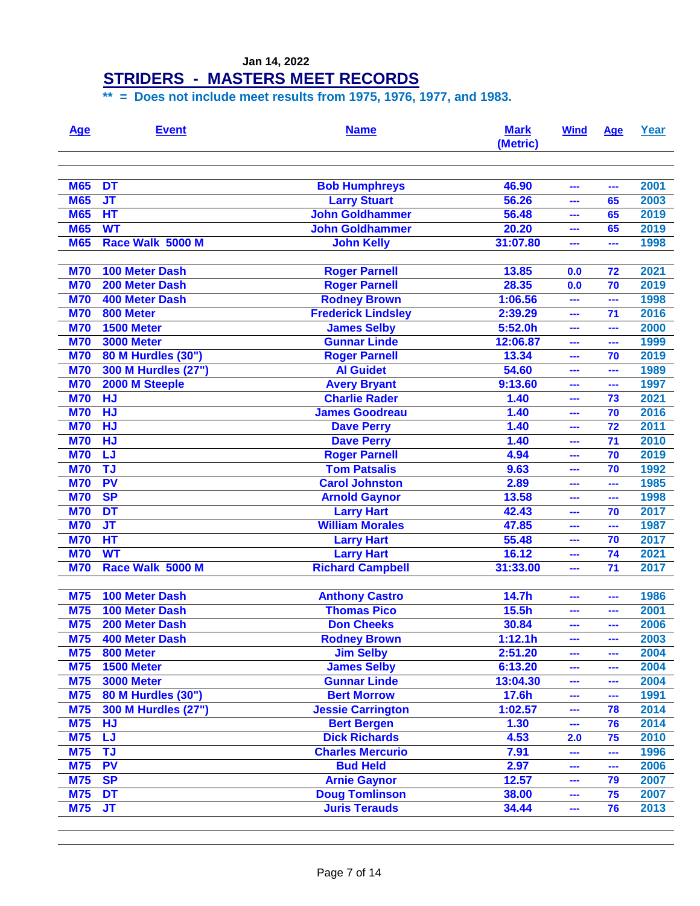#### **STRIDERS - MASTERS MEET RECORDS**

| <b>Age</b> | <b>Event</b>               | <b>Name</b>               | <b>Mark</b><br>(Metric) | <b>Wind</b> | <b>Age</b> | Year |
|------------|----------------------------|---------------------------|-------------------------|-------------|------------|------|
|            |                            |                           |                         |             |            |      |
| <b>M65</b> | <b>DT</b>                  | <b>Bob Humphreys</b>      | 46.90                   | ---         | ---        | 2001 |
| <b>M65</b> | <b>JT</b>                  | <b>Larry Stuart</b>       | 56.26                   | ---         | 65         | 2003 |
| <b>M65</b> | HT                         | <b>John Goldhammer</b>    | 56.48                   | ---         | 65         | 2019 |
| <b>M65</b> | <b>WT</b>                  | <b>John Goldhammer</b>    | 20.20                   | ---         | 65         | 2019 |
| <b>M65</b> | Race Walk 5000 M           | <b>John Kelly</b>         | 31:07.80                | ---         | ---        | 1998 |
| <b>M70</b> | <b>100 Meter Dash</b>      | <b>Roger Parnell</b>      | 13.85                   | 0.0         | 72         | 2021 |
| <b>M70</b> | 200 Meter Dash             | <b>Roger Parnell</b>      | 28.35                   | 0.0         | 70         | 2019 |
| <b>M70</b> | <b>400 Meter Dash</b>      | <b>Rodney Brown</b>       | 1:06.56                 | ---         | ---        | 1998 |
| <b>M70</b> | 800 Meter                  | <b>Frederick Lindsley</b> | 2:39.29                 | ---         | 71         | 2016 |
| <b>M70</b> | 1500 Meter                 | <b>James Selby</b>        | 5:52.0h                 | ---         | ---        | 2000 |
| <b>M70</b> | <b>3000 Meter</b>          | <b>Gunnar Linde</b>       | 12:06.87                | ---         | ---        | 1999 |
| <b>M70</b> | 80 M Hurdles (30")         | <b>Roger Parnell</b>      | 13.34                   | ---         | 70         | 2019 |
| <b>M70</b> | 300 M Hurdles (27")        | <b>Al Guidet</b>          | 54.60                   | ---         | ---        | 1989 |
| <b>M70</b> | 2000 M Steeple             | <b>Avery Bryant</b>       | 9:13.60                 | ---         |            | 1997 |
| <b>M70</b> | <b>HJ</b>                  | <b>Charlie Rader</b>      | 1.40                    | ---         | 73         | 2021 |
| <b>M70</b> | <b>HJ</b>                  | <b>James Goodreau</b>     | $1.\overline{40}$       | ---         | 70         | 2016 |
| <b>M70</b> | <b>HJ</b>                  | <b>Dave Perry</b>         | $1.\overline{40}$       | ---         | 72         | 2011 |
| <b>M70</b> | <b>HJ</b>                  | <b>Dave Perry</b>         | 1.40                    | ---         | 71         | 2010 |
| <b>M70</b> | LJ                         | <b>Roger Parnell</b>      | 4.94                    | ---         | 70         | 2019 |
| <b>M70</b> | TJ                         | <b>Tom Patsalis</b>       | 9.63                    | ---         | 70         | 1992 |
| <b>M70</b> | <b>PV</b>                  | <b>Carol Johnston</b>     | 2.89                    | ---         | ---        | 1985 |
| <b>M70</b> | <b>SP</b>                  | <b>Arnold Gaynor</b>      | 13.58                   | ---         | ---        | 1998 |
| <b>M70</b> | <b>DT</b>                  | <b>Larry Hart</b>         | 42.43                   | ---         | 70         | 2017 |
| <b>M70</b> | $J$ T                      | <b>William Morales</b>    | 47.85                   | ---         | ---        | 1987 |
| <b>M70</b> | HT                         | <b>Larry Hart</b>         | 55.48                   | ---         | 70         | 2017 |
| <b>M70</b> | <b>WT</b>                  | <b>Larry Hart</b>         | 16.12                   | ---         | 74         | 2021 |
| <b>M70</b> | Race Walk 5000 M           | <b>Richard Campbell</b>   | 31:33.00                | ---         | 71         | 2017 |
| <b>M75</b> | <b>100 Meter Dash</b>      | <b>Anthony Castro</b>     | 14.7h                   | ---         | ---        | 1986 |
| <b>M75</b> | <b>100 Meter Dash</b>      | <b>Thomas Pico</b>        | 15.5h                   | ---         |            | 2001 |
| <b>M75</b> | 200 Meter Dash             | <b>Don Cheeks</b>         | 30.84                   | ---         |            | 2006 |
| <b>M75</b> | <b>400 Meter Dash</b>      | <b>Rodney Brown</b>       | 1:12.1h                 | ---         | ---        | 2003 |
| <b>M75</b> | 800 Meter                  | <b>Jim Selby</b>          | 2:51.20                 | ---         | ---        | 2004 |
| <b>M75</b> | <b>1500 Meter</b>          | <b>James Selby</b>        | 6:13.20                 | ---         | ---        | 2004 |
| <b>M75</b> | <b>3000 Meter</b>          | <b>Gunnar Linde</b>       | 13:04.30                | ---         | ---        | 2004 |
| <b>M75</b> | 80 M Hurdles (30")         | <b>Bert Morrow</b>        | 17.6h                   | ---         | ---        | 1991 |
| <b>M75</b> | <b>300 M Hurdles (27")</b> | <b>Jessie Carrington</b>  | 1:02.57                 | ---         | 78         | 2014 |
| <b>M75</b> | <b>HJ</b>                  | <b>Bert Bergen</b>        | 1.30                    | ---         | 76         | 2014 |
| <b>M75</b> | <b>LJ</b>                  | <b>Dick Richards</b>      | 4.53                    | 2.0         | 75         | 2010 |
| <b>M75</b> | <b>TJ</b>                  | <b>Charles Mercurio</b>   | 7.91                    | ---         | ---        | 1996 |
| <b>M75</b> | <b>PV</b>                  | <b>Bud Held</b>           | 2.97                    | ---         | ---        | 2006 |
| <b>M75</b> | <b>SP</b>                  | <b>Arnie Gaynor</b>       | 12.57                   | ---         | 79         | 2007 |
| <b>M75</b> | <b>DT</b>                  | <b>Doug Tomlinson</b>     | 38.00                   | ---         | 75         | 2007 |
| <b>M75</b> | <b>JT</b>                  | <b>Juris Terauds</b>      | 34.44                   | ---         | 76         | 2013 |
|            |                            |                           |                         |             |            |      |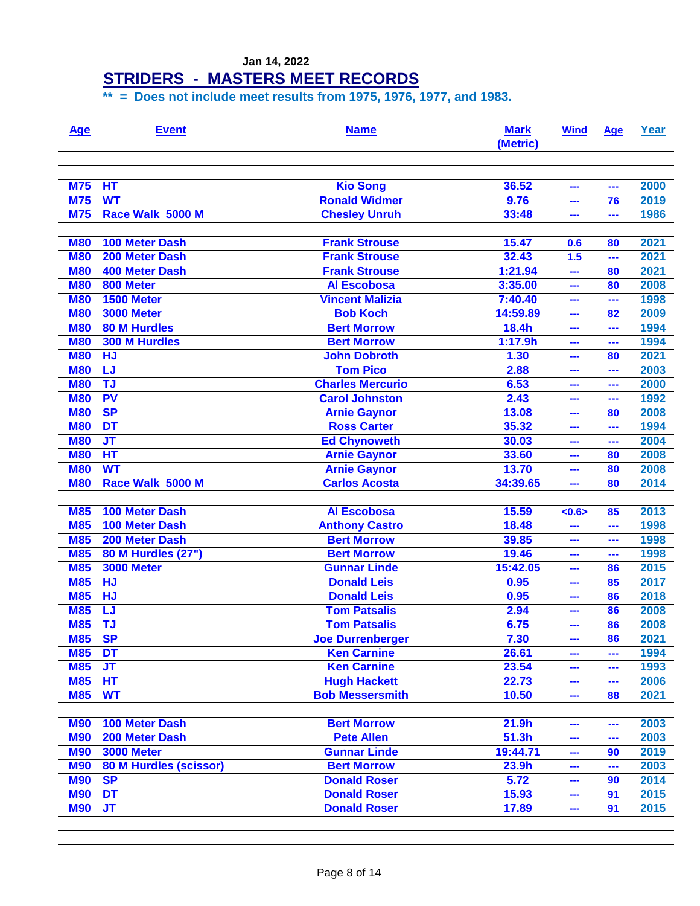| <u>Age</u>               | <b>Event</b>                  | <b>Name</b>                                | <b>Mark</b><br>(Metric) | <b>Wind</b> | Age       | Year         |
|--------------------------|-------------------------------|--------------------------------------------|-------------------------|-------------|-----------|--------------|
| <b>M75</b>               | HT                            | <b>Kio Song</b>                            | 36.52                   | ---         | ---       | 2000         |
| <b>M75</b>               | <b>WT</b>                     | <b>Ronald Widmer</b>                       | 9.76                    | ---         | 76        | 2019         |
| <b>M75</b>               | Race Walk 5000 M              | <b>Chesley Unruh</b>                       | 33:48                   | ---         | ---       | 1986         |
| <b>M80</b>               | <b>100 Meter Dash</b>         | <b>Frank Strouse</b>                       | 15.47                   | 0.6         | 80        | 2021         |
| <b>M80</b>               | 200 Meter Dash                | <b>Frank Strouse</b>                       | 32.43                   | 1.5         | ---       | 2021         |
| <b>M80</b>               | <b>400 Meter Dash</b>         | <b>Frank Strouse</b>                       | 1:21.94                 | ---         | 80        | 2021         |
| <b>M80</b>               | 800 Meter                     | <b>Al Escobosa</b>                         | 3:35.00                 | ---         | 80        | 2008         |
| <b>M80</b>               | 1500 Meter                    | <b>Vincent Malizia</b>                     | 7:40.40                 | ---         | ---       | 1998         |
| <b>M80</b>               | <b>3000 Meter</b>             | <b>Bob Koch</b>                            | 14:59.89                | ---         | 82        | 2009         |
| <b>M80</b>               | <b>80 M Hurdles</b>           | <b>Bert Morrow</b>                         | 18.4h                   | ---         | ---       | 1994         |
| <b>M80</b>               | <b>300 M Hurdles</b>          | <b>Bert Morrow</b>                         | 1:17.9h                 | ---         | ---       | 1994         |
| <b>M80</b>               | <b>HJ</b>                     | <b>John Dobroth</b>                        | 1.30                    | ---         | 80        | 2021         |
| <b>M80</b>               | LJ                            | <b>Tom Pico</b>                            | 2.88                    | ---         | ---       | 2003         |
| <b>M80</b>               | <b>TJ</b>                     | <b>Charles Mercurio</b>                    | 6.53                    | ---         | ---       | 2000         |
| <b>M80</b>               | <b>PV</b><br><b>SP</b>        | <b>Carol Johnston</b>                      | 2.43                    | ---         | ---       | 1992         |
| <b>M80</b><br><b>M80</b> | <b>DT</b>                     | <b>Arnie Gaynor</b><br><b>Ross Carter</b>  | 13.08<br>35.32          | ---<br>---  | 80<br>--- | 2008<br>1994 |
|                          | $J$ T                         |                                            | 30.03                   |             |           | 2004         |
| <b>M80</b><br><b>M80</b> | HT                            | <b>Ed Chynoweth</b>                        | 33.60                   | ---<br>---  | ---<br>80 | 2008         |
| <b>M80</b>               | <b>WT</b>                     | <b>Arnie Gaynor</b><br><b>Arnie Gaynor</b> | 13.70                   | ---         | 80        | 2008         |
| <b>M80</b>               | Race Walk 5000 M              | <b>Carlos Acosta</b>                       | 34:39.65                | ---         | 80        | 2014         |
|                          |                               |                                            |                         |             |           |              |
| <b>M85</b>               | <b>100 Meter Dash</b>         | <b>Al Escobosa</b>                         | 15.59                   | < 0.6       | 85        | 2013         |
| <b>M85</b>               | 100 Meter Dash                | <b>Anthony Castro</b>                      | 18.48                   | ---         | ---       | 1998         |
| <b>M85</b>               | 200 Meter Dash                | <b>Bert Morrow</b>                         | 39.85                   | ---         | ---       | 1998         |
| <b>M85</b>               | 80 M Hurdles (27")            | <b>Bert Morrow</b>                         | 19.46                   | ---         | ---       | 1998         |
| <b>M85</b>               | <b>3000 Meter</b>             | <b>Gunnar Linde</b>                        | 15:42.05                | ---         | 86        | 2015         |
| <b>M85</b>               | <b>HJ</b>                     | <b>Donald Leis</b>                         | 0.95                    | ---         | 85        | 2017         |
| <b>M85</b>               | <b>HJ</b>                     | <b>Donald Leis</b>                         | 0.95                    | ---         | 86        | 2018         |
| <b>M85</b>               | LJ                            | <b>Tom Patsalis</b>                        | 2.94                    | ---         | 86        | 2008         |
| <b>M85</b>               | <b>TJ</b>                     | <b>Tom Patsalis</b>                        | 6.75                    | ---         | 86        | 2008         |
| <b>M85</b>               | <b>SP</b>                     | <b>Joe Durrenberger</b>                    | 7.30                    | ---         | 86        | 2021         |
| <b>M85</b>               | <b>DT</b>                     | <b>Ken Carnine</b>                         | 26.61                   | ---         | ---       | 1994         |
| <b>M85</b>               | <b>JT</b>                     | <b>Ken Carnine</b>                         | 23.54                   | ---         | ---       | 1993         |
| <b>M85</b>               | HT                            | <b>Hugh Hackett</b>                        | 22.73                   | ---         | ---       | 2006         |
| <b>M85</b>               | <b>WT</b>                     | <b>Bob Messersmith</b>                     | 10.50                   | ---         | 88        | 2021         |
| <b>M90</b>               | 100 Meter Dash                | <b>Bert Morrow</b>                         | 21.9h                   | ---         | ---       | 2003         |
| <b>M90</b>               | 200 Meter Dash                | <b>Pete Allen</b>                          | 51.3h                   | ---         | ---       | 2003         |
| <b>M90</b>               | <b>3000 Meter</b>             | <b>Gunnar Linde</b>                        | 19:44.71                | ---         | 90        | 2019         |
| <b>M90</b>               | <b>80 M Hurdles (scissor)</b> | <b>Bert Morrow</b>                         | 23.9h                   | ---         | ---       | 2003         |
| <b>M90</b>               | <b>SP</b>                     | <b>Donald Roser</b>                        | 5.72                    | ---         | 90        | 2014         |
| <b>M90</b>               | <b>DT</b>                     | <b>Donald Roser</b>                        | 15.93                   | ---         | 91        | 2015         |
| <b>M90</b>               | <b>JT</b>                     | <b>Donald Roser</b>                        | 17.89                   | ---         | 91        | 2015         |
|                          |                               |                                            |                         |             |           |              |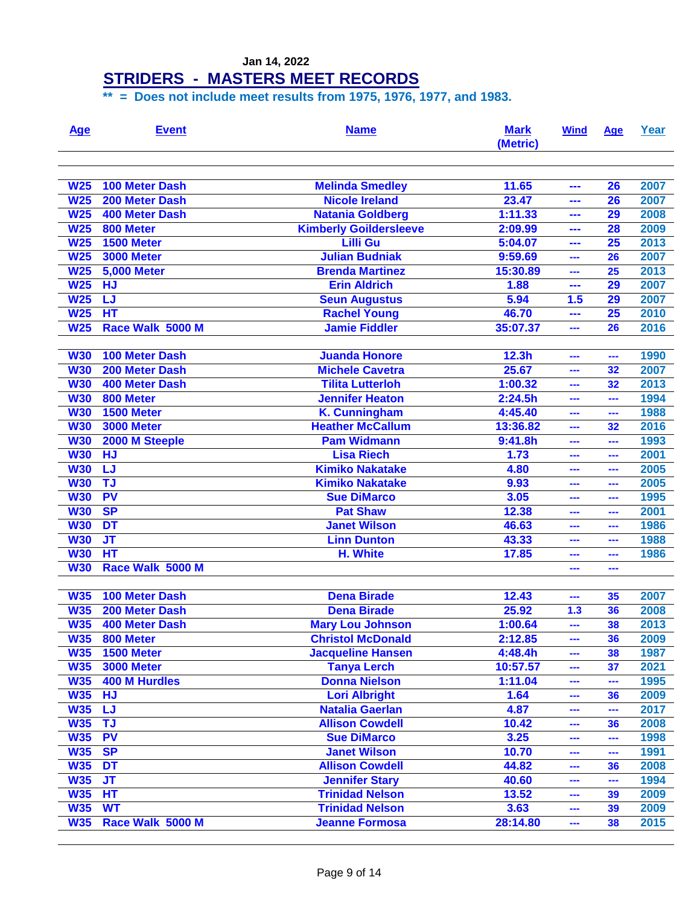| <u>Age</u>      | <b>Event</b>          | <b>Name</b>                   | <b>Mark</b><br>(Metric) | <b>Wind</b> | <u>Age</u>      | Year |
|-----------------|-----------------------|-------------------------------|-------------------------|-------------|-----------------|------|
| <b>W25</b>      | <b>100 Meter Dash</b> | <b>Melinda Smedley</b>        | 11.65                   | ---         | 26              | 2007 |
| <b>W25</b>      | 200 Meter Dash        | <b>Nicole Ireland</b>         | 23.47                   | ---         | 26              | 2007 |
| <b>W25</b>      | <b>400 Meter Dash</b> | <b>Natania Goldberg</b>       | 1:11.33                 | ---         | 29              | 2008 |
| <b>W25</b>      | 800 Meter             | <b>Kimberly Goildersleeve</b> | 2:09.99                 | ---         | 28              | 2009 |
| <b>W25</b>      | 1500 Meter            | <b>Lilli Gu</b>               | 5:04.07                 | ---         | 25              | 2013 |
| <b>W25</b>      | <b>3000 Meter</b>     | <b>Julian Budniak</b>         | 9:59.69                 |             | 26              | 2007 |
| W <sub>25</sub> | <b>5,000 Meter</b>    | <b>Brenda Martinez</b>        | 15:30.89                | ---         | 25              | 2013 |
| W <sub>25</sub> | <b>HJ</b>             | <b>Erin Aldrich</b>           | 1.88                    | ---         | 29              | 2007 |
| W <sub>25</sub> | <b>LJ</b>             | <b>Seun Augustus</b>          | 5.94                    | 1.5         | 29              | 2007 |
| W <sub>25</sub> | $H$ <sup>T</sup>      | <b>Rachel Young</b>           | 46.70                   | ---         | $\overline{25}$ | 2010 |
| <b>W25</b>      | Race Walk 5000 M      | <b>Jamie Fiddler</b>          | 35:07.37                | ---         | 26              | 2016 |
|                 |                       |                               |                         |             |                 |      |
| <b>W30</b>      | <b>100 Meter Dash</b> | <b>Juanda Honore</b>          | 12.3 <sub>h</sub>       | ---         | $\sim$          | 1990 |
| <b>W30</b>      | 200 Meter Dash        | <b>Michele Cavetra</b>        | 25.67                   | ---         | 32              | 2007 |
| <b>W30</b>      | <b>400 Meter Dash</b> | <b>Tilita Lutterloh</b>       | 1:00.32                 | ---         | 32              | 2013 |
| <b>W30</b>      | 800 Meter             | <b>Jennifer Heaton</b>        | 2:24.5h                 | ---         | ---             | 1994 |
| <b>W30</b>      | 1500 Meter            | <b>K. Cunningham</b>          | 4:45.40                 | ---         | ---             | 1988 |
| <b>W30</b>      | <b>3000 Meter</b>     | <b>Heather McCallum</b>       | 13:36.82                | ---         | 32              | 2016 |
| <b>W30</b>      | 2000 M Steeple        | <b>Pam Widmann</b>            | 9:41.8h                 | ---         | ---             | 1993 |
| <b>W30</b>      | <b>HJ</b>             | <b>Lisa Riech</b>             | 1.73                    | ---         | ---             | 2001 |
| <b>W30</b>      | LJ                    | <b>Kimiko Nakatake</b>        | 4.80                    | ---         |                 | 2005 |
| <b>W30</b>      | <b>TJ</b>             | <b>Kimiko Nakatake</b>        | 9.93                    | ---         | ---             | 2005 |
| <b>W30</b>      | <b>PV</b>             | <b>Sue DiMarco</b>            | 3.05                    | ---         |                 | 1995 |
| <b>W30</b>      | <b>SP</b>             | <b>Pat Shaw</b>               | 12.38                   | ---         |                 | 2001 |
| <b>W30</b>      | <b>DT</b>             | <b>Janet Wilson</b>           | 46.63                   | ---         | ---             | 1986 |
| <b>W30</b>      | $J$ T                 | <b>Linn Dunton</b>            | 43.33                   | ---         | ---             | 1988 |
| <b>W30</b>      | $H$ <sup>T</sup>      | H. White                      | 17.85                   | ---         | ---             | 1986 |
| <b>W30</b>      | Race Walk 5000 M      |                               |                         | ---         | ---             |      |
|                 |                       |                               |                         |             |                 |      |
| <b>W35</b>      | <b>100 Meter Dash</b> | <b>Dena Birade</b>            | 12.43                   | ---         | 35              | 2007 |
| <b>W35</b>      | 200 Meter Dash        | <b>Dena Birade</b>            | 25.92                   | 1.3         | 36              | 2008 |
| <b>W35</b>      | <b>400 Meter Dash</b> | <b>Mary Lou Johnson</b>       | 1:00.64                 | ---         | 38              | 2013 |
| <b>W35</b>      | 800 Meter             | <b>Christol McDonald</b>      | 2:12.85                 | ---         | 36              | 2009 |
| <b>W35</b>      | 1500 Meter            | <b>Jacqueline Hansen</b>      | 4:48.4h                 | ---         | 38              | 1987 |
| <b>W35</b>      | <b>3000 Meter</b>     | <b>Tanya Lerch</b>            | 10:57.57                | ---         | 37              | 2021 |
| <b>W35</b>      | <b>400 M Hurdles</b>  | <b>Donna Nielson</b>          | 1:11.04                 | ---         | $\frac{1}{2}$   | 1995 |
| W35             | <b>HJ</b>             | <b>Lori Albright</b>          | 1.64                    | ---         | 36              | 2009 |
| <b>W35</b>      | <b>LJ</b>             | <b>Natalia Gaerlan</b>        | 4.87                    | ---         | ---             | 2017 |
| <b>W35</b>      | <b>TJ</b>             | <b>Allison Cowdell</b>        | 10.42                   | ---         | 36              | 2008 |
| <b>W35</b>      | <b>PV</b>             | <b>Sue DiMarco</b>            | 3.25                    | ---         | ---             | 1998 |
| <b>W35</b>      | <b>SP</b>             | <b>Janet Wilson</b>           | 10.70                   | ---         | $\frac{1}{2}$   | 1991 |
| <b>W35</b>      | <b>DT</b>             | <b>Allison Cowdell</b>        | 44.82                   | ---         | 36              | 2008 |
| <b>W35</b>      | <b>JT</b>             | <b>Jennifer Stary</b>         | 40.60                   | ---         | ---             | 1994 |
| <b>W35</b>      | HT                    | <b>Trinidad Nelson</b>        | 13.52                   |             | 39              | 2009 |
|                 | <b>WT</b>             | <b>Trinidad Nelson</b>        |                         | ---         |                 |      |
| <b>W35</b>      |                       |                               | 3.63                    | ---         | 39              | 2009 |
| <b>W35</b>      | Race Walk 5000 M      | <b>Jeanne Formosa</b>         | 28:14.80                | ---         | 38              | 2015 |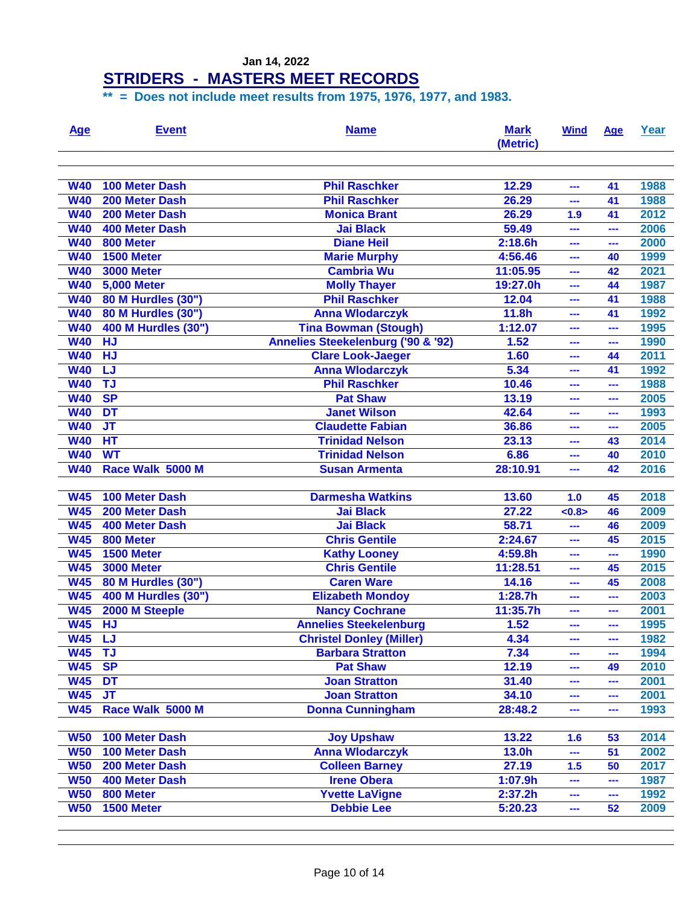| <u>Age</u>      | <b>Event</b>          | <b>Name</b>                        | <b>Mark</b><br>(Metric) | <b>Wind</b> | Age | Year |
|-----------------|-----------------------|------------------------------------|-------------------------|-------------|-----|------|
| <b>W40</b>      | <b>100 Meter Dash</b> | <b>Phil Raschker</b>               | 12.29                   | ---         | 41  | 1988 |
| <b>W40</b>      | 200 Meter Dash        | <b>Phil Raschker</b>               | 26.29                   | ---         | 41  | 1988 |
| <b>W40</b>      | 200 Meter Dash        | <b>Monica Brant</b>                | 26.29                   | 1.9         | 41  | 2012 |
| <b>W40</b>      | <b>400 Meter Dash</b> | <b>Jai Black</b>                   | 59.49                   | ---         | --- | 2006 |
| <b>W40</b>      | 800 Meter             | <b>Diane Heil</b>                  | 2:18.6h                 | ---         | --- | 2000 |
| <b>W40</b>      | 1500 Meter            | <b>Marie Murphy</b>                | 4:56.46                 | ---         | 40  | 1999 |
| <b>W40</b>      | <b>3000 Meter</b>     | <b>Cambria Wu</b>                  | 11:05.95                | ---         | 42  | 2021 |
| <b>W40</b>      | <b>5,000 Meter</b>    | <b>Molly Thayer</b>                | 19:27.0h                | ---         | 44  | 1987 |
| <b>W40</b>      | 80 M Hurdles (30")    | <b>Phil Raschker</b>               | 12.04                   | ---         | 41  | 1988 |
| <b>W40</b>      | 80 M Hurdles (30")    | <b>Anna Wlodarczyk</b>             | 11.8h                   | ---         | 41  | 1992 |
| <b>W40</b>      | 400 M Hurdles (30")   | <b>Tina Bowman (Stough)</b>        | 1:12.07                 | ---         | --- | 1995 |
| <b>W40</b>      | <b>HJ</b>             | Annelies Steekelenburg ('90 & '92) | 1.52                    | ---         | --- | 1990 |
| <b>W40</b>      | <b>HJ</b>             | <b>Clare Look-Jaeger</b>           | 1.60                    | ---         | 44  | 2011 |
| <b>W40</b>      | LJ                    | <b>Anna Wlodarczyk</b>             | 5.34                    | ---         | 41  | 1992 |
| <b>W40</b>      | <b>TJ</b>             | <b>Phil Raschker</b>               | 10.46                   | ---         | --- | 1988 |
| <b>W40</b>      | <b>SP</b>             | <b>Pat Shaw</b>                    | 13.19                   | ---         | --- | 2005 |
| <b>W40</b>      | DT                    | <b>Janet Wilson</b>                | 42.64                   | ---         | --- | 1993 |
| <b>W40</b>      | $J$ T                 | <b>Claudette Fabian</b>            | 36.86                   | ---         | --- | 2005 |
| <b>W40</b>      | $H$ <sup>T</sup>      | <b>Trinidad Nelson</b>             | 23.13                   | ---         | 43  | 2014 |
| <b>W40</b>      | <b>WT</b>             | <b>Trinidad Nelson</b>             | 6.86                    | ---         | 40  | 2010 |
| <b>W40</b>      | Race Walk 5000 M      | <b>Susan Armenta</b>               | 28:10.91                | ---         | 42  | 2016 |
|                 |                       |                                    |                         |             |     |      |
| <b>W45</b>      | <b>100 Meter Dash</b> | <b>Darmesha Watkins</b>            | 13.60                   | 1.0         | 45  | 2018 |
| <b>W45</b>      | 200 Meter Dash        | <b>Jai Black</b>                   | 27.22                   | < 0.8       | 46  | 2009 |
| <b>W45</b>      | <b>400 Meter Dash</b> | <b>Jai Black</b>                   | 58.71                   | ---         | 46  | 2009 |
| <b>W45</b>      | 800 Meter             | <b>Chris Gentile</b>               | 2:24.67                 | ---         | 45  | 2015 |
| <b>W45</b>      | 1500 Meter            | <b>Kathy Looney</b>                | 4:59.8h                 | ---         | --- | 1990 |
| <b>W45</b>      | <b>3000 Meter</b>     | <b>Chris Gentile</b>               | 11:28.51                | ---         | 45  | 2015 |
| <b>W45</b>      | 80 M Hurdles (30")    | <b>Caren Ware</b>                  | 14.16                   | ---         | 45  | 2008 |
| <b>W45</b>      | 400 M Hurdles (30")   | <b>Elizabeth Mondoy</b>            | 1:28.7h                 | ---         | --- | 2003 |
| <b>W45</b>      | 2000 M Steeple        | <b>Nancy Cochrane</b>              | 11:35.7h                | ---         |     | 2001 |
| <b>W45</b>      | <b>HJ</b>             | <b>Annelies Steekelenburg</b>      | 1.52                    | ---         |     | 1995 |
| W <sub>45</sub> | LJ                    | <b>Christel Donley (Miller)</b>    | 4.34                    | ---         | --- | 1982 |
| <b>W45</b>      | <b>TJ</b>             | <b>Barbara Stratton</b>            | 7.34                    | ---         | --- | 1994 |
| <b>W45</b>      | <b>SP</b>             | <b>Pat Shaw</b>                    | 12.19                   | ---         | 49  | 2010 |
| <b>W45</b>      | <b>DT</b>             | <b>Joan Stratton</b>               | 31.40                   | ---         | --- | 2001 |
| <b>W45</b>      | <b>JT</b>             | <b>Joan Stratton</b>               | 34.10                   | ---         | --- | 2001 |
| <b>W45</b>      | Race Walk 5000 M      | <b>Donna Cunningham</b>            | 28:48.2                 | ---         | --- | 1993 |
|                 |                       |                                    |                         |             |     |      |
| <b>W50</b>      | 100 Meter Dash        | <b>Joy Upshaw</b>                  | 13.22                   | 1.6         | 53  | 2014 |
| <b>W50</b>      | <b>100 Meter Dash</b> | <b>Anna Wlodarczyk</b>             | 13.0h                   | ---         | 51  | 2002 |
| <b>W50</b>      | 200 Meter Dash        | <b>Colleen Barney</b>              | 27.19                   | 1.5         | 50  | 2017 |
| <b>W50</b>      | <b>400 Meter Dash</b> | <b>Irene Obera</b>                 | 1:07.9h                 | ---         | --- | 1987 |
| <b>W50</b>      | 800 Meter             | <b>Yvette LaVigne</b>              | 2:37.2h                 | ---         | --- | 1992 |
| <b>W50</b>      | <b>1500 Meter</b>     | <b>Debbie Lee</b>                  | 5:20.23                 | ---         | 52  | 2009 |
|                 |                       |                                    |                         |             |     |      |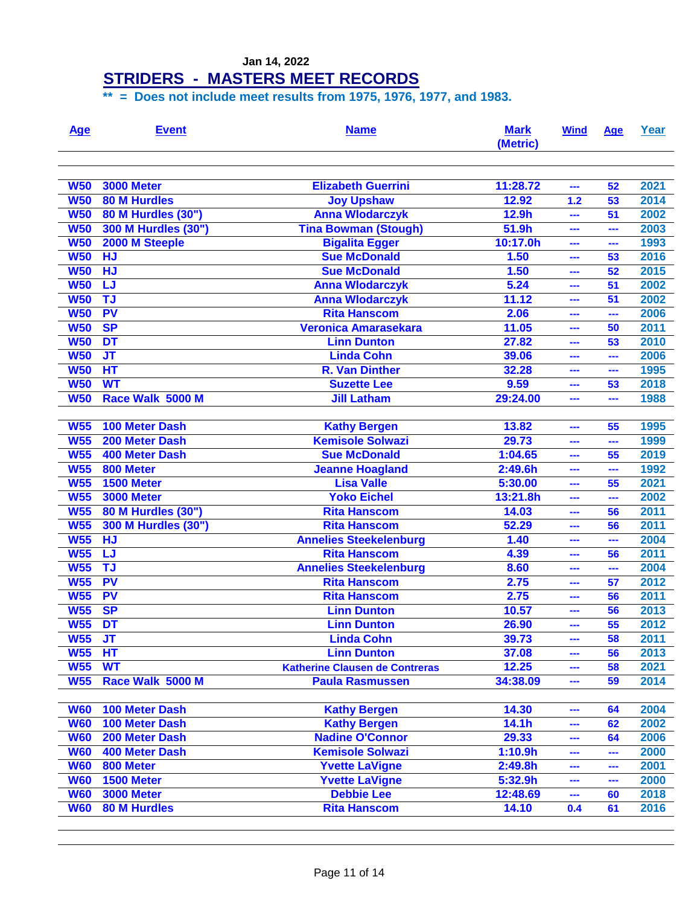| <u>Age</u>      | <b>Event</b>              | <b>Name</b>                           | <b>Mark</b><br>(Metric) | <b>Wind</b> | Age | Year |
|-----------------|---------------------------|---------------------------------------|-------------------------|-------------|-----|------|
|                 |                           |                                       |                         |             |     |      |
| <b>W50</b>      | <b>3000 Meter</b>         | <b>Elizabeth Guerrini</b>             | 11:28.72                | ---         | 52  | 2021 |
| <b>W50</b>      | <b>80 M Hurdles</b>       | <b>Joy Upshaw</b>                     | 12.92                   | 1.2         | 53  | 2014 |
| <b>W50</b>      | <b>80 M Hurdles (30")</b> | <b>Anna Wlodarczyk</b>                | 12.9h                   | ---         | 51  | 2002 |
| <b>W50</b>      | 300 M Hurdles (30")       | <b>Tina Bowman (Stough)</b>           | 51.9h                   | ---         | --- | 2003 |
| <b>W50</b>      | 2000 M Steeple            | <b>Bigalita Egger</b>                 | 10:17.0h                | ---         | --- | 1993 |
| <b>W50</b>      | <b>HJ</b>                 | <b>Sue McDonald</b>                   | 1.50                    | ---         | 53  | 2016 |
| <b>W50</b>      | <b>HJ</b>                 | <b>Sue McDonald</b>                   | 1.50                    | ---         | 52  | 2015 |
| <b>W50</b>      | LJ                        | <b>Anna Wlodarczyk</b>                | 5.24                    | ---         | 51  | 2002 |
| <b>W50</b>      | TJ                        | <b>Anna Wlodarczyk</b>                | 11.12                   | ---         | 51  | 2002 |
| <b>W50</b>      | <b>PV</b>                 | <b>Rita Hanscom</b>                   | 2.06                    | ---         | --- | 2006 |
| <b>W50</b>      | <b>SP</b>                 | <b>Veronica Amarasekara</b>           | 11.05                   | ---         | 50  | 2011 |
| <b>W50</b>      | <b>DT</b>                 | <b>Linn Dunton</b>                    | 27.82                   | ---         | 53  | 2010 |
| <b>W50</b>      | <b>JT</b>                 | <b>Linda Cohn</b>                     | 39.06                   | ---         | --- | 2006 |
| <b>W50</b>      | <b>HT</b>                 | R. Van Dinther                        | 32.28                   | ---         | --- | 1995 |
| <b>W50</b>      | <b>WT</b>                 | <b>Suzette Lee</b>                    | 9.59                    | ---         | 53  | 2018 |
| <b>W50</b>      | Race Walk 5000 M          | <b>Jill Latham</b>                    | 29:24.00                | ---         | --- | 1988 |
|                 |                           |                                       |                         |             |     |      |
| <b>W55</b>      | 100 Meter Dash            | <b>Kathy Bergen</b>                   | 13.82                   | ---         | 55  | 1995 |
| <b>W55</b>      | 200 Meter Dash            | <b>Kemisole Solwazi</b>               | 29.73                   | ---         | --- | 1999 |
| <b>W55</b>      | <b>400 Meter Dash</b>     | <b>Sue McDonald</b>                   | 1:04.65                 | ---         | 55  | 2019 |
| <b>W55</b>      | 800 Meter                 | <b>Jeanne Hoagland</b>                | 2:49.6h                 | ---         | --- | 1992 |
| <b>W55</b>      | 1500 Meter                | <b>Lisa Valle</b>                     | 5:30.00                 | ---         | 55  | 2021 |
| <b>W55</b>      | <b>3000 Meter</b>         | <b>Yoko Eichel</b>                    | 13:21.8h                | ---         | --- | 2002 |
| <b>W55</b>      | 80 M Hurdles (30")        | <b>Rita Hanscom</b>                   | 14.03                   | ---         | 56  | 2011 |
| <b>W55</b>      | 300 M Hurdles (30")       | <b>Rita Hanscom</b>                   | 52.29                   | ---         | 56  | 2011 |
| <b>W55</b>      | <b>HJ</b>                 | <b>Annelies Steekelenburg</b>         | 1.40                    | ---         | --- | 2004 |
| <b>W55</b>      | LJ                        | <b>Rita Hanscom</b>                   | 4.39                    | ---         | 56  | 2011 |
| <b>W55</b>      | TJ                        | <b>Annelies Steekelenburg</b>         | 8.60                    | ---         | --- | 2004 |
| <b>W55</b>      | <b>PV</b>                 | <b>Rita Hanscom</b>                   | 2.75                    | ---         | 57  | 2012 |
| <b>W55</b>      | <b>PV</b>                 | <b>Rita Hanscom</b>                   | 2.75                    | ---         | 56  | 2011 |
| <b>W55</b>      | <b>SP</b>                 | <b>Linn Dunton</b>                    | 10.57                   | ---         | 56  | 2013 |
| <b>W55</b>      | <b>DT</b>                 | <b>Linn Dunton</b>                    | 26.90                   | ---         | 55  | 2012 |
| W <sub>55</sub> | J <sub>T</sub>            | <b>Linda Cohn</b>                     | 39.73                   | ---         | 58  | 2011 |
| <b>W55</b>      | HT                        | <b>Linn Dunton</b>                    | 37.08                   | ---         | 56  | 2013 |
| <b>W55</b>      | <b>WT</b>                 | <b>Katherine Clausen de Contreras</b> | 12.25                   | ---         | 58  | 2021 |
| <b>W55</b>      | Race Walk 5000 M          | <b>Paula Rasmussen</b>                | 34:38.09                | ---         | 59  | 2014 |
| <b>W60</b>      | 100 Meter Dash            | <b>Kathy Bergen</b>                   | 14.30                   | ---         | 64  | 2004 |
| <b>W60</b>      | 100 Meter Dash            | <b>Kathy Bergen</b>                   | 14.1 <sub>h</sub>       | ---         | 62  | 2002 |
| <b>W60</b>      | 200 Meter Dash            | <b>Nadine O'Connor</b>                | 29.33                   | ---         | 64  | 2006 |
| <b>W60</b>      | 400 Meter Dash            | <b>Kemisole Solwazi</b>               | 1:10.9h                 |             | --- | 2000 |
|                 |                           |                                       |                         | ---         |     |      |
| <b>W60</b>      | 800 Meter<br>1500 Meter   | <b>Yvette LaVigne</b>                 | 2:49.8h                 | ---         | --- | 2001 |
| <b>W60</b>      |                           | <b>Yvette LaVigne</b>                 | 5:32.9h                 | ---         | --- | 2000 |
| <b>W60</b>      | <b>3000 Meter</b>         | <b>Debbie Lee</b>                     | 12:48.69                | ---         | 60  | 2018 |
| <b>W60</b>      | <b>80 M Hurdles</b>       | <b>Rita Hanscom</b>                   | 14.10                   | 0.4         | 61  | 2016 |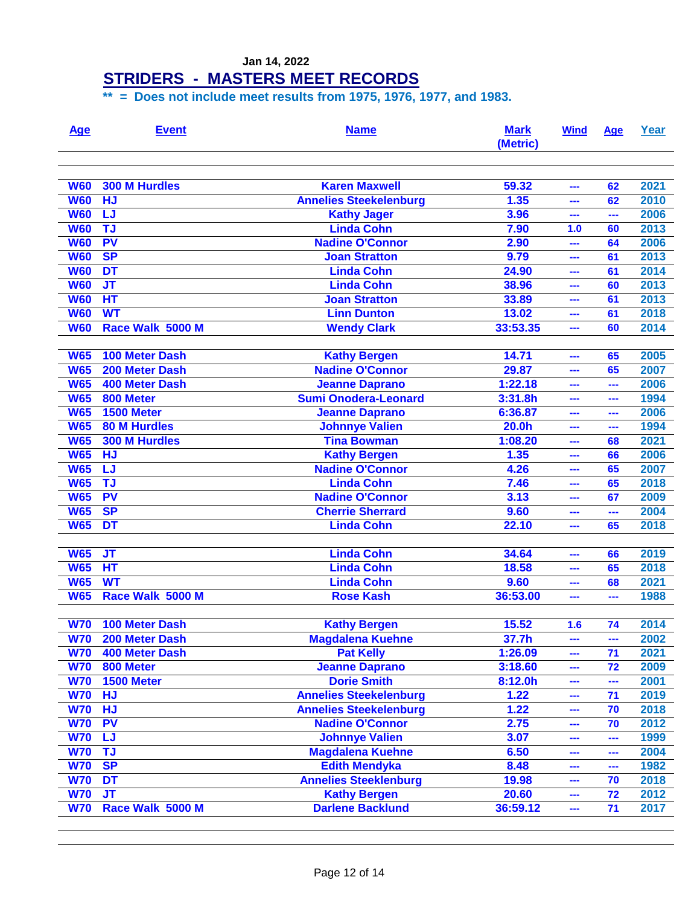#### **STRIDERS - MASTERS MEET RECORDS**

| <b>Age</b>               | <b>Event</b>                            | <b>Name</b>                                    | <b>Mark</b><br>(Metric) | <b>Wind</b> | Age      | Year |
|--------------------------|-----------------------------------------|------------------------------------------------|-------------------------|-------------|----------|------|
| <b>W60</b>               | <b>300 M Hurdles</b>                    | <b>Karen Maxwell</b>                           | 59.32                   | ---         | 62       | 2021 |
| <b>W60</b>               | <b>HJ</b>                               | <b>Annelies Steekelenburg</b>                  | 1.35                    | ---         | 62       | 2010 |
| <b>W60</b>               | LJ                                      | <b>Kathy Jager</b>                             | 3.96                    | ---         | ---      | 2006 |
| <b>W60</b>               | <b>TJ</b>                               | <b>Linda Cohn</b>                              | 7.90                    | 1.0         | 60       | 2013 |
| <b>W60</b>               | <b>PV</b>                               | <b>Nadine O'Connor</b>                         | 2.90                    | ---         | 64       | 2006 |
| <b>W60</b>               | <b>SP</b>                               | <b>Joan Stratton</b>                           | 9.79                    | ---         | 61       | 2013 |
| <b>W60</b>               | DT                                      | <b>Linda Cohn</b>                              | 24.90                   | ---         | 61       | 2014 |
| <b>W60</b>               | $J$ T                                   | <b>Linda Cohn</b>                              | 38.96                   | ---         | 60       | 2013 |
| <b>W60</b>               | HT                                      | <b>Joan Stratton</b>                           | 33.89                   | ---         | 61       | 2013 |
| <b>W60</b>               | <b>WT</b>                               | <b>Linn Dunton</b>                             | 13.02                   | ---         | 61       | 2018 |
| <b>W60</b>               | Race Walk 5000 M                        | <b>Wendy Clark</b>                             | 33:53.35                | ---         | 60       | 2014 |
|                          | <b>100 Meter Dash</b>                   |                                                | 14.71                   |             |          | 2005 |
| <b>W65</b><br><b>W65</b> |                                         | <b>Kathy Bergen</b><br><b>Nadine O'Connor</b>  |                         | ---         | 65<br>65 | 2007 |
| <b>W65</b>               | 200 Meter Dash<br><b>400 Meter Dash</b> | <b>Jeanne Daprano</b>                          | 29.87<br>1:22.18        | ---         | ---      | 2006 |
| <b>W65</b>               | 800 Meter                               | <b>Sumi Onodera-Leonard</b>                    | 3:31.8h                 | ---<br>---  | ---      | 1994 |
| <b>W65</b>               | 1500 Meter                              |                                                | 6:36.87                 | ---         | ---      | 2006 |
| <b>W65</b>               | <b>80 M Hurdles</b>                     | <b>Jeanne Daprano</b><br><b>Johnnye Valien</b> | 20.0h                   | ---         | ---      | 1994 |
| <b>W65</b>               | <b>300 M Hurdles</b>                    | <b>Tina Bowman</b>                             | 1:08.20                 | ---         | 68       | 2021 |
| <b>W65</b>               | <b>HJ</b>                               | <b>Kathy Bergen</b>                            | 1.35                    | ---         | 66       | 2006 |
| <b>W65</b>               | LJ                                      | <b>Nadine O'Connor</b>                         | 4.26                    | ---         | 65       | 2007 |
| <b>W65</b>               | <b>TJ</b>                               | <b>Linda Cohn</b>                              | 7.46                    | ---         | 65       | 2018 |
| <b>W65</b>               | <b>PV</b>                               | <b>Nadine O'Connor</b>                         | 3.13                    | ---         | 67       | 2009 |
| <b>W65</b>               | <b>SP</b>                               | <b>Cherrie Sherrard</b>                        | 9.60                    | ---         | ---      | 2004 |
| <b>W65</b>               | <b>DT</b>                               | <b>Linda Cohn</b>                              | 22.10                   | ---         | 65       | 2018 |
|                          |                                         |                                                |                         |             |          |      |
| <b>W65</b>               | $J$ T                                   | <b>Linda Cohn</b>                              | 34.64                   | ---         | 66       | 2019 |
| <b>W65</b>               | HT                                      | <b>Linda Cohn</b>                              | 18.58                   | ---         | 65       | 2018 |
| <b>W65</b>               | <b>WT</b>                               | <b>Linda Cohn</b>                              | 9.60                    | ---         | 68       | 2021 |
| <b>W65</b>               | Race Walk 5000 M                        | <b>Rose Kash</b>                               | 36:53.00                | ---         | ---      | 1988 |
|                          |                                         |                                                |                         |             |          |      |
| <b>W70</b>               | 100 Meter Dash                          | <b>Kathy Bergen</b>                            | 15.52                   | 1.6         | 74       | 2014 |
| <b>W70</b>               | 200 Meter Dash                          | <b>Magdalena Kuehne</b>                        | 37.7h                   | ---         | $\sim$   | 2002 |
| <b>W70</b>               | 400 Meter Dash                          | <b>Pat Kelly</b>                               | 1:26.09                 | ---         | 71       | 2021 |
| <b>W70</b>               | 800 Meter                               | <b>Jeanne Daprano</b>                          | 3:18.60                 | ---         | 72       | 2009 |
| <b>W70</b>               | 1500 Meter                              | <b>Dorie Smith</b>                             | 8:12.0h                 | ---         | ---      | 2001 |
| <b>W70</b>               | <b>HJ</b>                               | <b>Annelies Steekelenburg</b>                  | 1.22                    | ---         | 71       | 2019 |
| <b>W70</b>               | <b>HJ</b>                               | <b>Annelies Steekelenburg</b>                  | 1.22                    | ---         | 70       | 2018 |
| <b>W70</b>               | <b>PV</b>                               | <b>Nadine O'Connor</b>                         | 2.75                    | ---         | 70       | 2012 |
| <b>W70</b>               | <b>LJ</b>                               | <b>Johnnye Valien</b>                          | 3.07                    | ---         | ---      | 1999 |
| <b>W70</b>               | <b>TJ</b>                               | <b>Magdalena Kuehne</b>                        | 6.50                    | ---         | ---      | 2004 |
| <b>W70</b>               | <b>SP</b>                               | <b>Edith Mendyka</b>                           | 8.48                    | ---         | ---      | 1982 |
| <b>W70</b>               | <b>DT</b>                               | <b>Annelies Steeklenburg</b>                   | 19.98                   | ---         | 70       | 2018 |
| <b>W70</b>               | $J$ T                                   | <b>Kathy Bergen</b>                            | 20.60                   | ---         | 72       | 2012 |
| <b>W70</b>               | Race Walk 5000 M                        | <b>Darlene Backlund</b>                        | 36:59.12                | ---         | 71       | 2017 |
|                          |                                         |                                                |                         |             |          |      |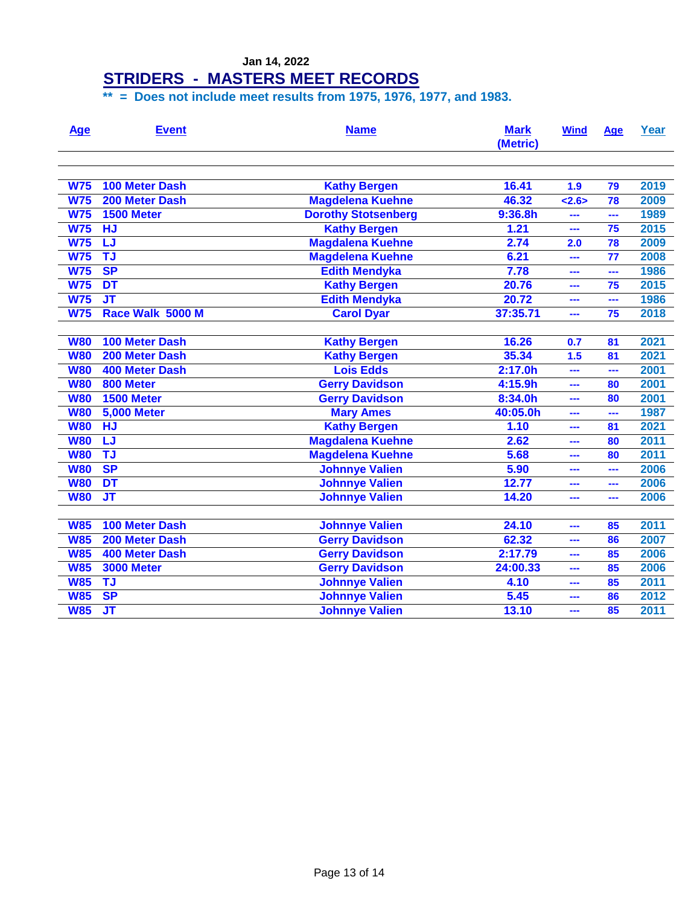| <b>Age</b> | <b>Event</b>          | <b>Name</b>                | <b>Mark</b><br>(Metric) | <b>Wind</b> | Age | Year |
|------------|-----------------------|----------------------------|-------------------------|-------------|-----|------|
| <b>W75</b> | <b>100 Meter Dash</b> | <b>Kathy Bergen</b>        | 16.41                   | 1.9         | 79  | 2019 |
| <b>W75</b> | 200 Meter Dash        | <b>Magdelena Kuehne</b>    | 46.32                   | 2.6         | 78  | 2009 |
| <b>W75</b> | 1500 Meter            | <b>Dorothy Stotsenberg</b> | 9:36.8h                 |             | --- | 1989 |
| <b>W75</b> | <b>HJ</b>             | <b>Kathy Bergen</b>        | 1.21                    |             | 75  | 2015 |
| <b>W75</b> | LJ                    | <b>Magdalena Kuehne</b>    | 2.74                    | 2.0         | 78  | 2009 |
| <b>W75</b> | TJ                    | <b>Magdelena Kuehne</b>    | 6.21                    | ---         | 77  | 2008 |
| <b>W75</b> | <b>SP</b>             | <b>Edith Mendyka</b>       | 7.78                    |             | --- | 1986 |
| <b>W75</b> | DT                    | <b>Kathy Bergen</b>        | 20.76                   |             | 75  | 2015 |
| <b>W75</b> | $J$ T                 | <b>Edith Mendyka</b>       | 20.72                   |             | --- | 1986 |
| <b>W75</b> | Race Walk 5000 M      | <b>Carol Dyar</b>          | 37:35.71                |             | 75  | 2018 |
|            |                       |                            |                         |             |     |      |
| <b>W80</b> | <b>100 Meter Dash</b> | <b>Kathy Bergen</b>        | 16.26                   | 0.7         | 81  | 2021 |
| <b>W80</b> | 200 Meter Dash        | <b>Kathy Bergen</b>        | 35.34                   | 1.5         | 81  | 2021 |
| <b>W80</b> | 400 Meter Dash        | <b>Lois Edds</b>           | 2:17.0h                 | ---         | --- | 2001 |
| <b>W80</b> | 800 Meter             | <b>Gerry Davidson</b>      | 4:15.9h                 | ---         | 80  | 2001 |
| <b>W80</b> | <b>1500 Meter</b>     | <b>Gerry Davidson</b>      | 8:34.0h                 |             | 80  | 2001 |
| <b>W80</b> | <b>5,000 Meter</b>    | <b>Mary Ames</b>           | 40:05.0h                |             | --- | 1987 |
| <b>W80</b> | <b>HJ</b>             | <b>Kathy Bergen</b>        | 1.10                    |             | 81  | 2021 |
| <b>W80</b> | IJ                    | Magdalena Kuehne           | 2.62                    |             | 80  | 2011 |
| <b>W80</b> | <b>TJ</b>             | <b>Magdelena Kuehne</b>    | 5.68                    | ---         | 80  | 2011 |
| <b>W80</b> | <b>SP</b>             | <b>Johnnye Valien</b>      | 5.90                    | ---         | --- | 2006 |
| <b>W80</b> | <b>DT</b>             | <b>Johnnye Valien</b>      | 12.77                   | ---         | --- | 2006 |
| <b>W80</b> | <b>JT</b>             | <b>Johnnye Valien</b>      | 14.20                   | ---         | --- | 2006 |
|            |                       |                            |                         |             |     |      |
| <b>W85</b> | <b>100 Meter Dash</b> | <b>Johnnye Valien</b>      | 24.10                   | ---         | 85  | 2011 |
| <b>W85</b> | 200 Meter Dash        | <b>Gerry Davidson</b>      | 62.32                   | ---         | 86  | 2007 |
| <b>W85</b> | <b>400 Meter Dash</b> | <b>Gerry Davidson</b>      | 2:17.79                 | ---         | 85  | 2006 |
| <b>W85</b> | <b>3000 Meter</b>     | <b>Gerry Davidson</b>      | 24:00.33                | ---         | 85  | 2006 |
| <b>W85</b> | <b>TJ</b>             | <b>Johnnye Valien</b>      | 4.10                    | ---         | 85  | 2011 |
| <b>W85</b> | <b>SP</b>             | <b>Johnnye Valien</b>      | 5.45                    | ---         | 86  | 2012 |
| <b>W85</b> | $J$ T                 | <b>Johnnye Valien</b>      | 13.10                   |             | 85  | 2011 |